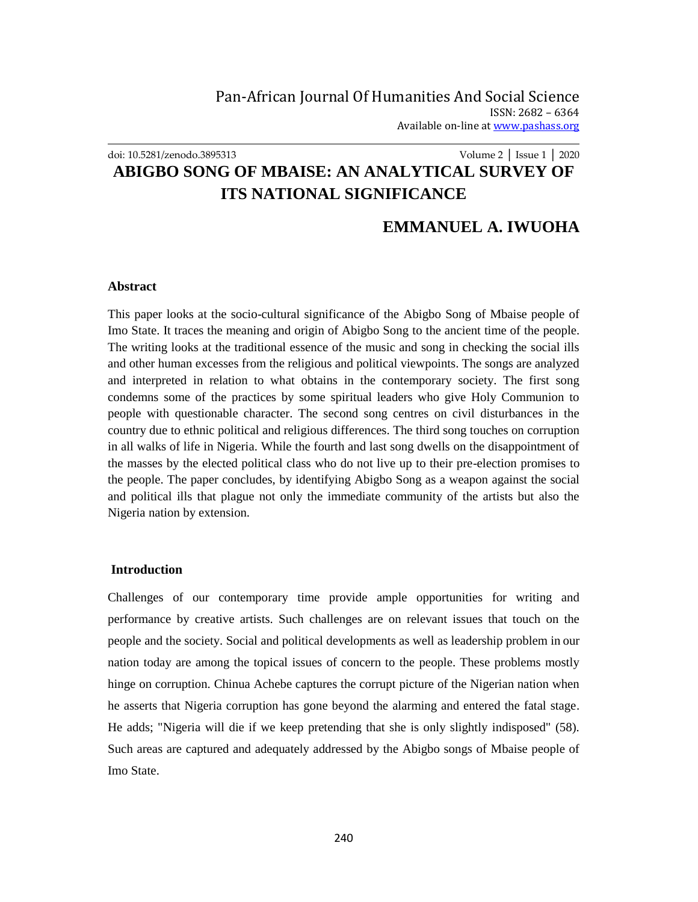# doi: 10.5281/zenodo.3895313 Volume 2 │ Issue 1 │ 2020 **ABIGBO SONG OF MBAISE: AN ANALYTICAL SURVEY OF ITS NATIONAL SIGNIFICANCE**

## **EMMANUEL A. IWUOHA**

#### **Abstract**

This paper looks at the socio-cultural significance of the Abigbo Song of Mbaise people of Imo State. It traces the meaning and origin of Abigbo Song to the ancient time of the people. The writing looks at the traditional essence of the music and song in checking the social ills and other human excesses from the religious and political viewpoints. The songs are analyzed and interpreted in relation to what obtains in the contemporary society. The first song condemns some of the practices by some spiritual leaders who give Holy Communion to people with questionable character. The second song centres on civil disturbances in the country due to ethnic political and religious differences. The third song touches on corruption in all walks of life in Nigeria. While the fourth and last song dwells on the disappointment of the masses by the elected political class who do not live up to their pre-election promises to the people. The paper concludes, by identifying Abigbo Song as a weapon against the social and political ills that plague not only the immediate community of the artists but also the Nigeria nation by extension.

#### **Introduction**

Challenges of our contemporary time provide ample opportunities for writing and performance by creative artists. Such challenges are on relevant issues that touch on the people and the society. Social and political developments as well as leadership problem in our nation today are among the topical issues of concern to the people. These problems mostly hinge on corruption. Chinua Achebe captures the corrupt picture of the Nigerian nation when he asserts that Nigeria corruption has gone beyond the alarming and entered the fatal stage. He adds; "Nigeria will die if we keep pretending that she is only slightly indisposed" (58). Such areas are captured and adequately addressed by the Abigbo songs of Mbaise people of Imo State.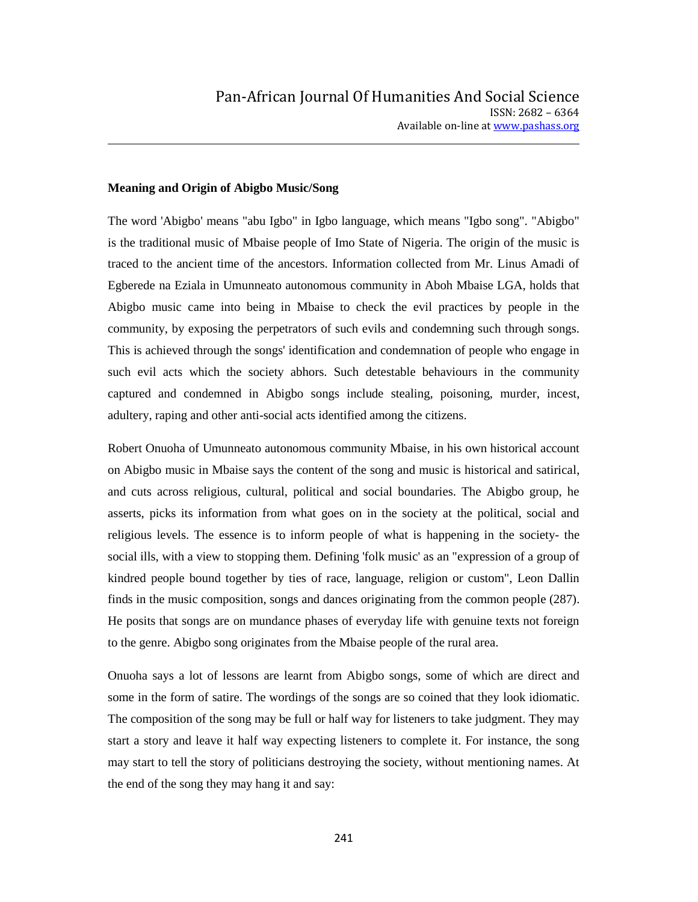#### **Meaning and Origin of Abigbo Music/Song**

The word 'Abigbo' means "abu Igbo" in Igbo language, which means "Igbo song". "Abigbo" is the traditional music of Mbaise people of Imo State of Nigeria. The origin of the music is traced to the ancient time of the ancestors. Information collected from Mr. Linus Amadi of Egberede na Eziala in Umunneato autonomous community in Aboh Mbaise LGA, holds that Abigbo music came into being in Mbaise to check the evil practices by people in the community, by exposing the perpetrators of such evils and condemning such through songs. This is achieved through the songs' identification and condemnation of people who engage in such evil acts which the society abhors. Such detestable behaviours in the community captured and condemned in Abigbo songs include stealing, poisoning, murder, incest, adultery, raping and other anti-social acts identified among the citizens.

Robert Onuoha of Umunneato autonomous community Mbaise, in his own historical account on Abigbo music in Mbaise says the content of the song and music is historical and satirical, and cuts across religious, cultural, political and social boundaries. The Abigbo group, he asserts, picks its information from what goes on in the society at the political, social and religious levels. The essence is to inform people of what is happening in the society- the social ills, with a view to stopping them. Defining 'folk music' as an "expression of a group of kindred people bound together by ties of race, language, religion or custom", Leon Dallin finds in the music composition, songs and dances originating from the common people (287). He posits that songs are on mundance phases of everyday life with genuine texts not foreign to the genre. Abigbo song originates from the Mbaise people of the rural area.

Onuoha says a lot of lessons are learnt from Abigbo songs, some of which are direct and some in the form of satire. The wordings of the songs are so coined that they look idiomatic. The composition of the song may be full or half way for listeners to take judgment. They may start a story and leave it half way expecting listeners to complete it. For instance, the song may start to tell the story of politicians destroying the society, without mentioning names. At the end of the song they may hang it and say: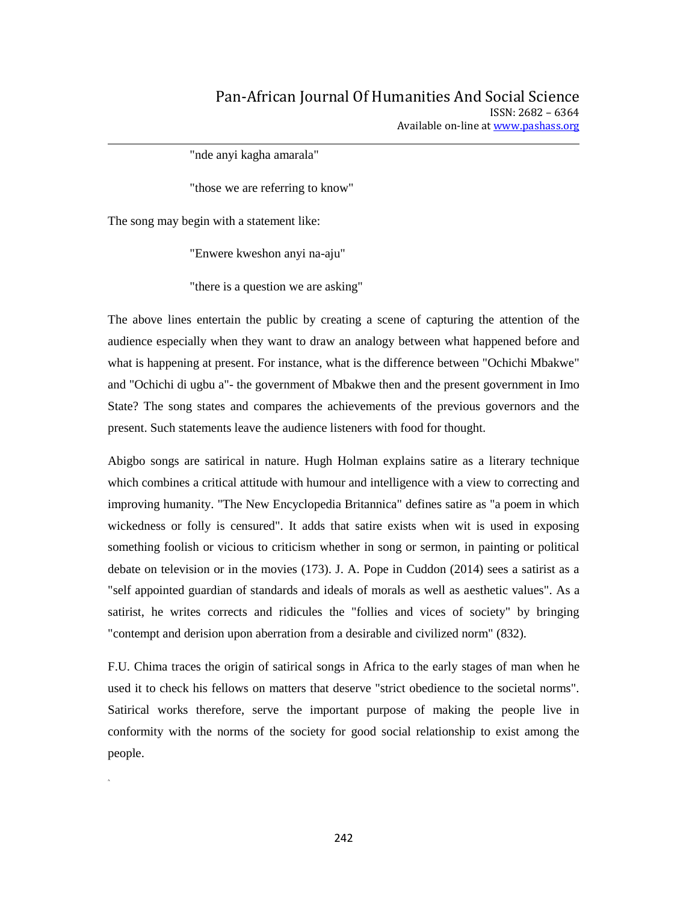"nde anyi kagha amarala"

"those we are referring to know"

The song may begin with a statement like:

A.

"Enwere kweshon anyi na-aju"

"there is a question we are asking"

The above lines entertain the public by creating a scene of capturing the attention of the audience especially when they want to draw an analogy between what happened before and what is happening at present. For instance, what is the difference between "Ochichi Mbakwe" and "Ochichi di ugbu a"- the government of Mbakwe then and the present government in Imo State? The song states and compares the achievements of the previous governors and the present. Such statements leave the audience listeners with food for thought.

Abigbo songs are satirical in nature. Hugh Holman explains satire as a literary technique which combines a critical attitude with humour and intelligence with a view to correcting and improving humanity. "The New Encyclopedia Britannica" defines satire as "a poem in which wickedness or folly is censured". It adds that satire exists when wit is used in exposing something foolish or vicious to criticism whether in song or sermon, in painting or political debate on television or in the movies (173). J. A. Pope in Cuddon (2014) sees a satirist as a "self appointed guardian of standards and ideals of morals as well as aesthetic values". As a satirist, he writes corrects and ridicules the "follies and vices of society" by bringing "contempt and derision upon aberration from a desirable and civilized norm" (832).

F.U. Chima traces the origin of satirical songs in Africa to the early stages of man when he used it to check his fellows on matters that deserve "strict obedience to the societal norms". Satirical works therefore, serve the important purpose of making the people live in conformity with the norms of the society for good social relationship to exist among the people.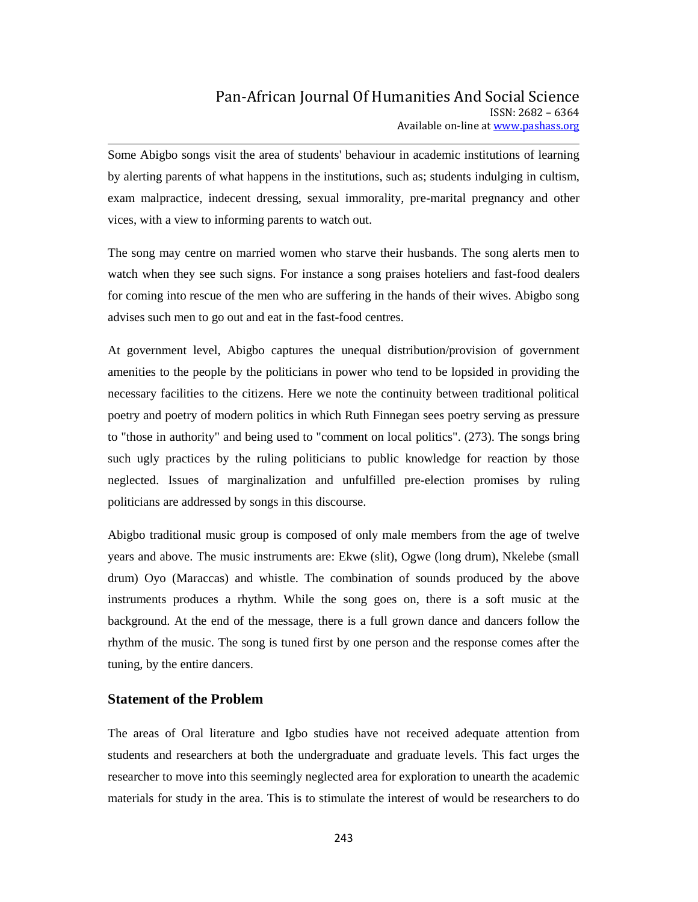Some Abigbo songs visit the area of students' behaviour in academic institutions of learning by alerting parents of what happens in the institutions, such as; students indulging in cultism, exam malpractice, indecent dressing, sexual immorality, pre-marital pregnancy and other vices, with a view to informing parents to watch out.

The song may centre on married women who starve their husbands. The song alerts men to watch when they see such signs. For instance a song praises hoteliers and fast-food dealers for coming into rescue of the men who are suffering in the hands of their wives. Abigbo song advises such men to go out and eat in the fast-food centres.

At government level, Abigbo captures the unequal distribution/provision of government amenities to the people by the politicians in power who tend to be lopsided in providing the necessary facilities to the citizens. Here we note the continuity between traditional political poetry and poetry of modern politics in which Ruth Finnegan sees poetry serving as pressure to "those in authority" and being used to "comment on local politics". (273). The songs bring such ugly practices by the ruling politicians to public knowledge for reaction by those neglected. Issues of marginalization and unfulfilled pre-election promises by ruling politicians are addressed by songs in this discourse.

Abigbo traditional music group is composed of only male members from the age of twelve years and above. The music instruments are: Ekwe (slit), Ogwe (long drum), Nkelebe (small drum) Oyo (Maraccas) and whistle. The combination of sounds produced by the above instruments produces a rhythm. While the song goes on, there is a soft music at the background. At the end of the message, there is a full grown dance and dancers follow the rhythm of the music. The song is tuned first by one person and the response comes after the tuning, by the entire dancers.

#### **Statement of the Problem**

The areas of Oral literature and Igbo studies have not received adequate attention from students and researchers at both the undergraduate and graduate levels. This fact urges the researcher to move into this seemingly neglected area for exploration to unearth the academic materials for study in the area. This is to stimulate the interest of would be researchers to do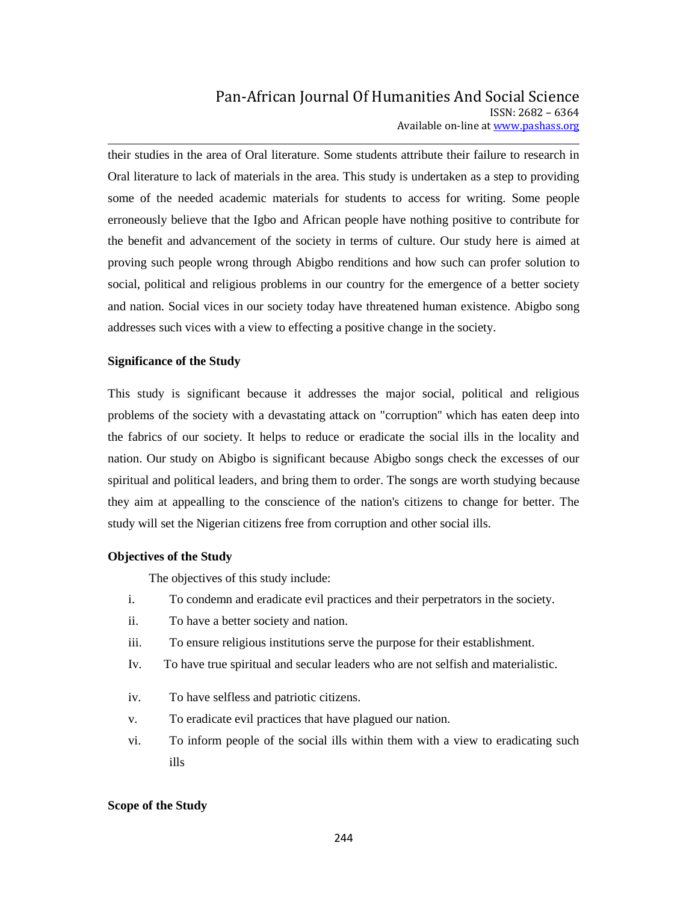their studies in the area of Oral literature. Some students attribute their failure to research in Oral literature to lack of materials in the area. This study is undertaken as a step to providing some of the needed academic materials for students to access for writing. Some people erroneously believe that the Igbo and African people have nothing positive to contribute for the benefit and advancement of the society in terms of culture. Our study here is aimed at proving such people wrong through Abigbo renditions and how such can profer solution to social, political and religious problems in our country for the emergence of a better society and nation. Social vices in our society today have threatened human existence. Abigbo song addresses such vices with a view to effecting a positive change in the society.

#### **Significance of the Study**

This study is significant because it addresses the major social, political and religious problems of the society with a devastating attack on "corruption'' which has eaten deep into the fabrics of our society. It helps to reduce or eradicate the social ills in the locality and nation. Our study on Abigbo is significant because Abigbo songs check the excesses of our spiritual and political leaders, and bring them to order. The songs are worth studying because they aim at appealling to the conscience of the nation's citizens to change for better. The study will set the Nigerian citizens free from corruption and other social ills.

#### **Objectives of the Study**

The objectives of this study include:

- i. To condemn and eradicate evil practices and their perpetrators in the society.
- ii. To have a better society and nation.
- iii. To ensure religious institutions serve the purpose for their establishment.
- Iv. To have true spiritual and secular leaders who are not selfish and materialistic.
- iv. To have selfless and patriotic citizens.
- v. To eradicate evil practices that have plagued our nation.
- vi. To inform people of the social ills within them with a view to eradicating such ills

#### **Scope of the Study**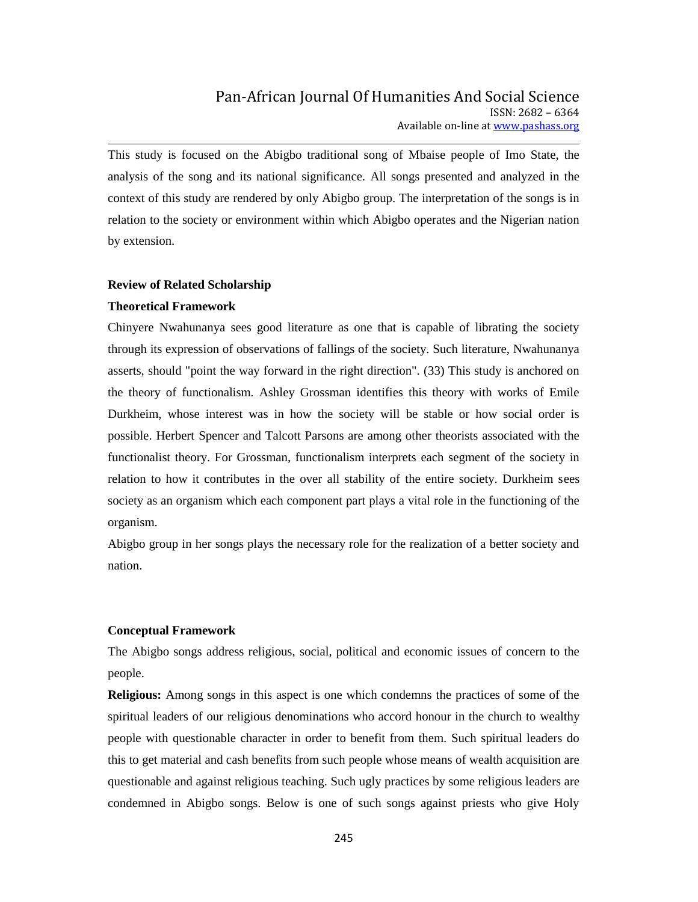This study is focused on the Abigbo traditional song of Mbaise people of Imo State, the analysis of the song and its national significance. All songs presented and analyzed in the context of this study are rendered by only Abigbo group. The interpretation of the songs is in relation to the society or environment within which Abigbo operates and the Nigerian nation by extension.

#### **Review of Related Scholarship**

#### **Theoretical Framework**

Chinyere Nwahunanya sees good literature as one that is capable of librating the society through its expression of observations of fallings of the society. Such literature, Nwahunanya asserts, should "point the way forward in the right direction". (33) This study is anchored on the theory of functionalism. Ashley Grossman identifies this theory with works of Emile Durkheim, whose interest was in how the society will be stable or how social order is possible. Herbert Spencer and Talcott Parsons are among other theorists associated with the functionalist theory. For Grossman, functionalism interprets each segment of the society in relation to how it contributes in the over all stability of the entire society. Durkheim sees society as an organism which each component part plays a vital role in the functioning of the organism.

Abigbo group in her songs plays the necessary role for the realization of a better society and nation.

#### **Conceptual Framework**

The Abigbo songs address religious, social, political and economic issues of concern to the people.

**Religious:** Among songs in this aspect is one which condemns the practices of some of the spiritual leaders of our religious denominations who accord honour in the church to wealthy people with questionable character in order to benefit from them. Such spiritual leaders do this to get material and cash benefits from such people whose means of wealth acquisition are questionable and against religious teaching. Such ugly practices by some religious leaders are condemned in Abigbo songs. Below is one of such songs against priests who give Holy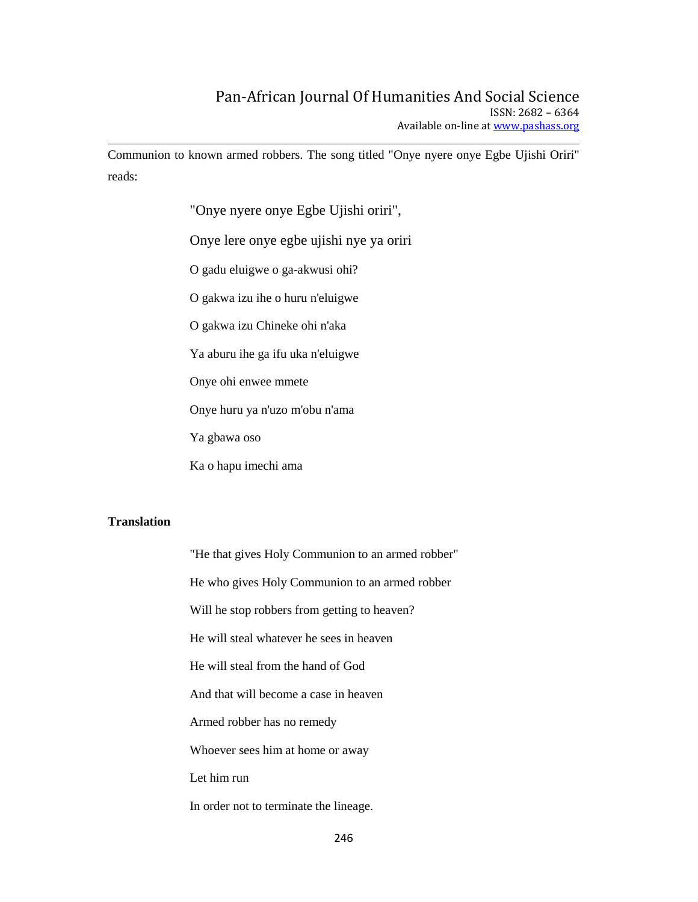Communion to known armed robbers. The song titled "Onye nyere onye Egbe Ujishi Oriri" reads:

"Onye nyere onye Egbe Ujishi oriri",

Onye lere onye egbe ujishi nye ya oriri

O gadu eluigwe o ga-akwusi ohi?

O gakwa izu ihe o huru n'eluigwe

O gakwa izu Chineke ohi n'aka

Ya aburu ihe ga ifu uka n'eluigwe

Onye ohi enwee mmete

Onye huru ya n'uzo m'obu n'ama

Ya gbawa oso

Ka o hapu imechi ama

### **Translation**

"He that gives Holy Communion to an armed robber" He who gives Holy Communion to an armed robber Will he stop robbers from getting to heaven? He will steal whatever he sees in heaven He will steal from the hand of God And that will become a case in heaven Armed robber has no remedy Whoever sees him at home or away Let him run In order not to terminate the lineage.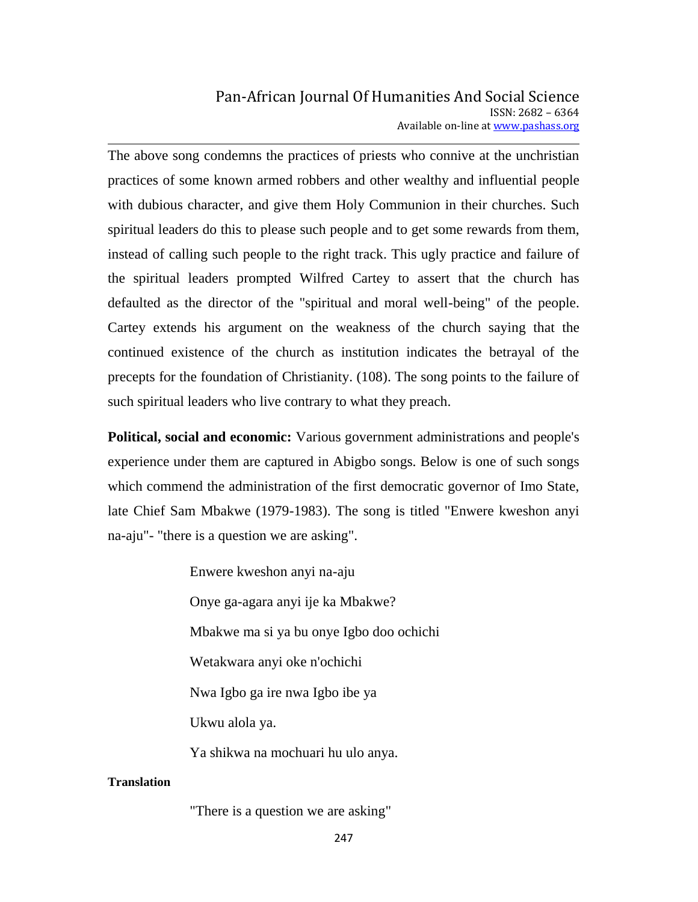The above song condemns the practices of priests who connive at the unchristian practices of some known armed robbers and other wealthy and influential people with dubious character, and give them Holy Communion in their churches. Such spiritual leaders do this to please such people and to get some rewards from them, instead of calling such people to the right track. This ugly practice and failure of the spiritual leaders prompted Wilfred Cartey to assert that the church has defaulted as the director of the ''spiritual and moral well-being" of the people. Cartey extends his argument on the weakness of the church saying that the continued existence of the church as institution indicates the betrayal of the precepts for the foundation of Christianity. (108). The song points to the failure of such spiritual leaders who live contrary to what they preach.

**Political, social and economic:** Various government administrations and people's experience under them are captured in Abigbo songs. Below is one of such songs which commend the administration of the first democratic governor of Imo State, late Chief Sam Mbakwe (1979-1983). The song is titled "Enwere kweshon anyi na-aju"- "there is a question we are asking".

> Enwere kweshon anyi na-aju Onye ga-agara anyi ije ka Mbakwe? Mbakwe ma si ya bu onye Igbo doo ochichi Wetakwara anyi oke n'ochichi Nwa Igbo ga ire nwa Igbo ibe ya Ukwu alola ya. Ya shikwa na mochuari hu ulo anya.

### **Translation**

"There is a question we are asking"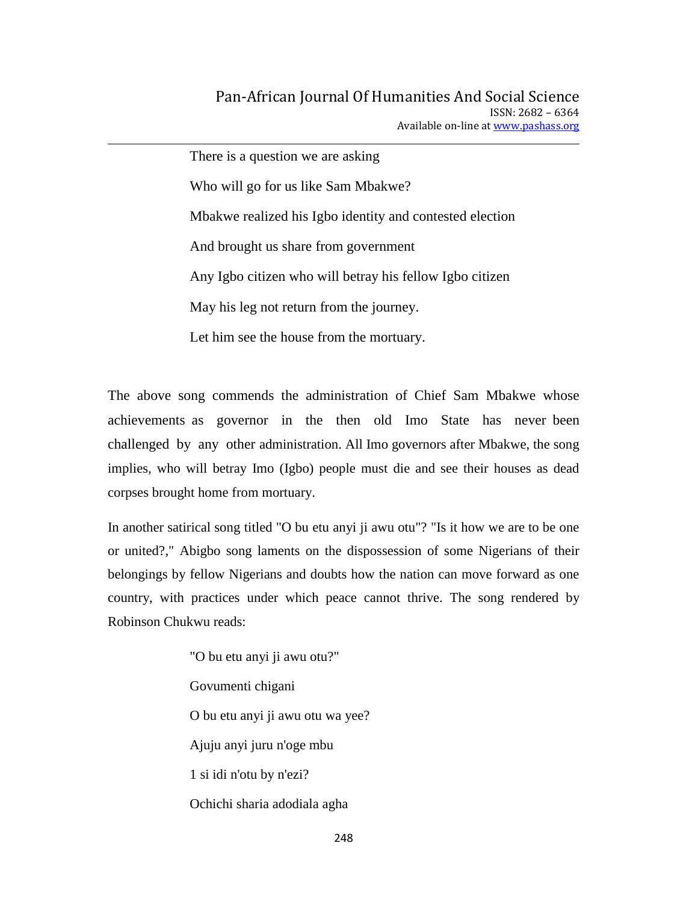There is a question we are asking Who will go for us like Sam Mbakwe? Mbakwe realized his Igbo identity and contested election And brought us share from government Any Igbo citizen who will betray his fellow Igbo citizen May his leg not return from the journey. Let him see the house from the mortuary.

The above song commends the administration of Chief Sam Mbakwe whose achievements as governor in the then old Imo State has never been challenged by any other administration. All Imo governors after Mbakwe, the song implies, who will betray Imo (Igbo) people must die and see their houses as dead corpses brought home from mortuary.

In another satirical song titled "O bu etu anyi ji awu otu"? "Is it how we are to be one or united?," Abigbo song laments on the dispossession of some Nigerians of their belongings by fellow Nigerians and doubts how the nation can move forward as one country, with practices under which peace cannot thrive. The song rendered by Robinson Chukwu reads:

> "O bu etu anyi ji awu otu?" Govumenti chigani O bu etu anyi ji awu otu wa yee? Ajuju anyi juru n'oge mbu 1 si idi n'otu by n'ezi? Ochichi sharia adodiala agha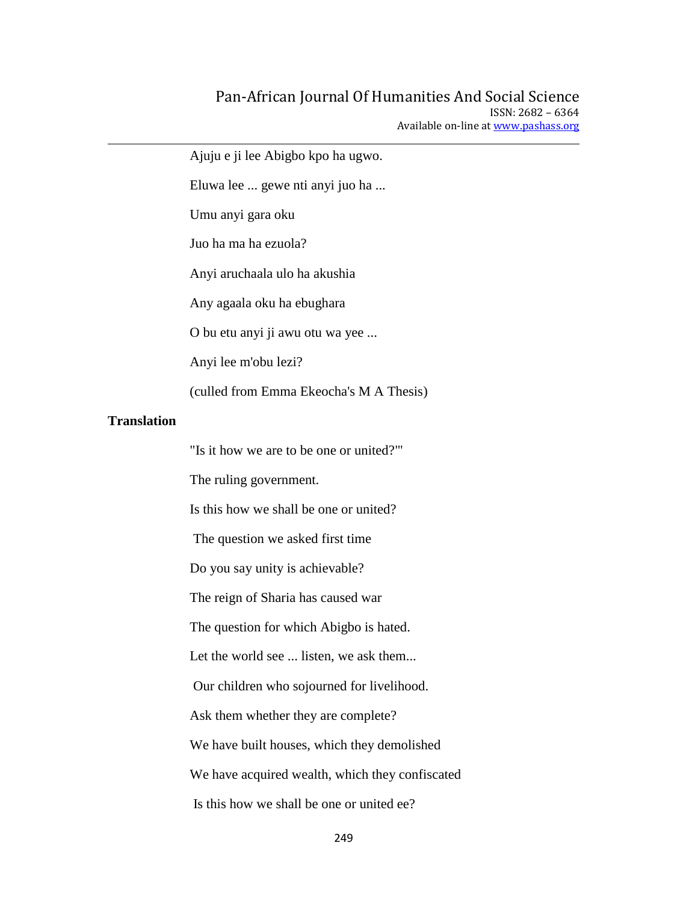Ajuju e ji lee Abigbo kpo ha ugwo. Eluwa lee ... gewe nti anyi juo ha ... Umu anyi gara oku Juo ha ma ha ezuola? Anyi aruchaala ulo ha akushia Any agaala oku ha ebughara O bu etu anyi ji awu otu wa yee ... Anyi lee m'obu lezi? (culled from Emma Ekeocha's M A Thesis) **Translation** "Is it how we are to be one or united?"' The ruling government. Is this how we shall be one or united? The question we asked first time Do you say unity is achievable? The reign of Sharia has caused war The question for which Abigbo is hated. Let the world see ... listen, we ask them... Our children who sojourned for livelihood. Ask them whether they are complete? We have built houses, which they demolished We have acquired wealth, which they confiscated Is this how we shall be one or united ee?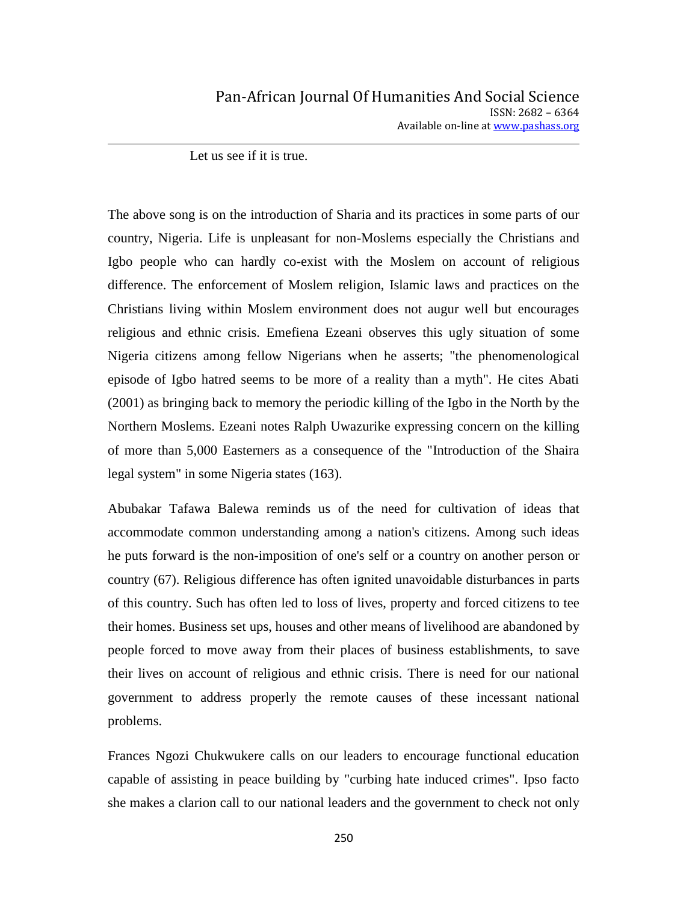Let us see if it is true.

The above song is on the introduction of Sharia and its practices in some parts of our country, Nigeria. Life is unpleasant for non-Moslems especially the Christians and Igbo people who can hardly co-exist with the Moslem on account of religious difference. The enforcement of Moslem religion, Islamic laws and practices on the Christians living within Moslem environment does not augur well but encourages religious and ethnic crisis. Emefiena Ezeani observes this ugly situation of some Nigeria citizens among fellow Nigerians when he asserts; "the phenomenological episode of Igbo hatred seems to be more of a reality than a myth". He cites Abati (2001) as bringing back to memory the periodic killing of the Igbo in the North by the Northern Moslems. Ezeani notes Ralph Uwazurike expressing concern on the killing of more than 5,000 Easterners as a consequence of the "Introduction of the Shaira legal system" in some Nigeria states (163).

Abubakar Tafawa Balewa reminds us of the need for cultivation of ideas that accommodate common understanding among a nation's citizens. Among such ideas he puts forward is the non-imposition of one's self or a country on another person or country (67). Religious difference has often ignited unavoidable disturbances in parts of this country. Such has often led to loss of lives, property and forced citizens to tee their homes. Business set ups, houses and other means of livelihood are abandoned by people forced to move away from their places of business establishments, to save their lives on account of religious and ethnic crisis. There is need for our national government to address properly the remote causes of these incessant national problems.

Frances Ngozi Chukwukere calls on our leaders to encourage functional education capable of assisting in peace building by "curbing hate induced crimes". Ipso facto she makes a clarion call to our national leaders and the government to check not only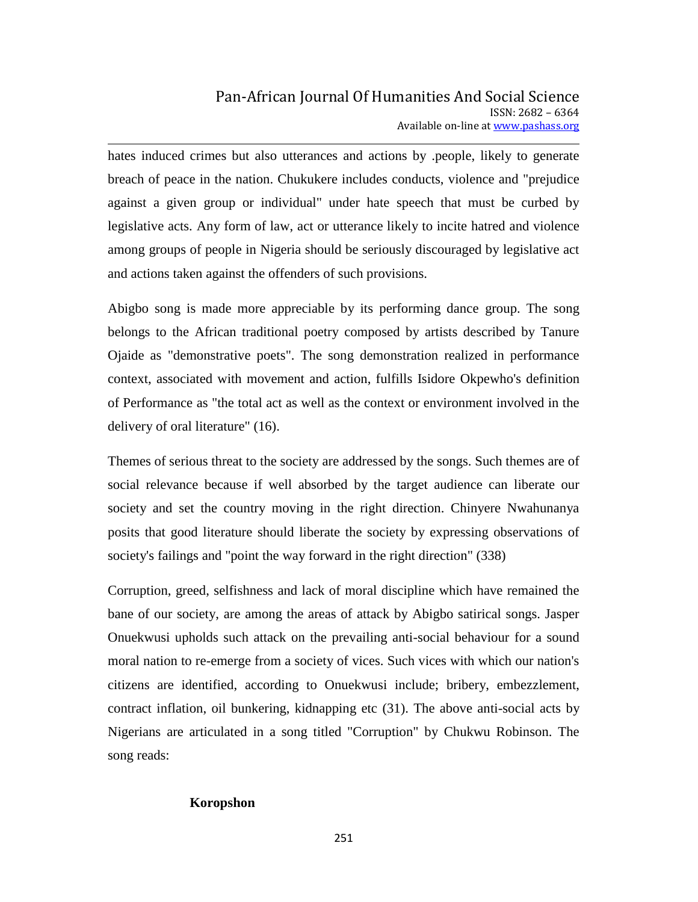hates induced crimes but also utterances and actions by .people, likely to generate breach of peace in the nation. Chukukere includes conducts, violence and "prejudice against a given group or individual" under hate speech that must be curbed by legislative acts. Any form of law, act or utterance likely to incite hatred and violence among groups of people in Nigeria should be seriously discouraged by legislative act and actions taken against the offenders of such provisions.

Abigbo song is made more appreciable by its performing dance group. The song belongs to the African traditional poetry composed by artists described by Tanure Ojaide as "demonstrative poets". The song demonstration realized in performance context, associated with movement and action, fulfills Isidore Okpewho's definition of Performance as "the total act as well as the context or environment involved in the delivery of oral literature" (16).

Themes of serious threat to the society are addressed by the songs. Such themes are of social relevance because if well absorbed by the target audience can liberate our society and set the country moving in the right direction. Chinyere Nwahunanya posits that good literature should liberate the society by expressing observations of society's failings and "point the way forward in the right direction" (338)

Corruption, greed, selfishness and lack of moral discipline which have remained the bane of our society, are among the areas of attack by Abigbo satirical songs. Jasper Onuekwusi upholds such attack on the prevailing anti-social behaviour for a sound moral nation to re-emerge from a society of vices. Such vices with which our nation's citizens are identified, according to Onuekwusi include; bribery, embezzlement, contract inflation, oil bunkering, kidnapping etc (31). The above anti-social acts by Nigerians are articulated in a song titled "Corruption" by Chukwu Robinson. The song reads:

### **Koropshon**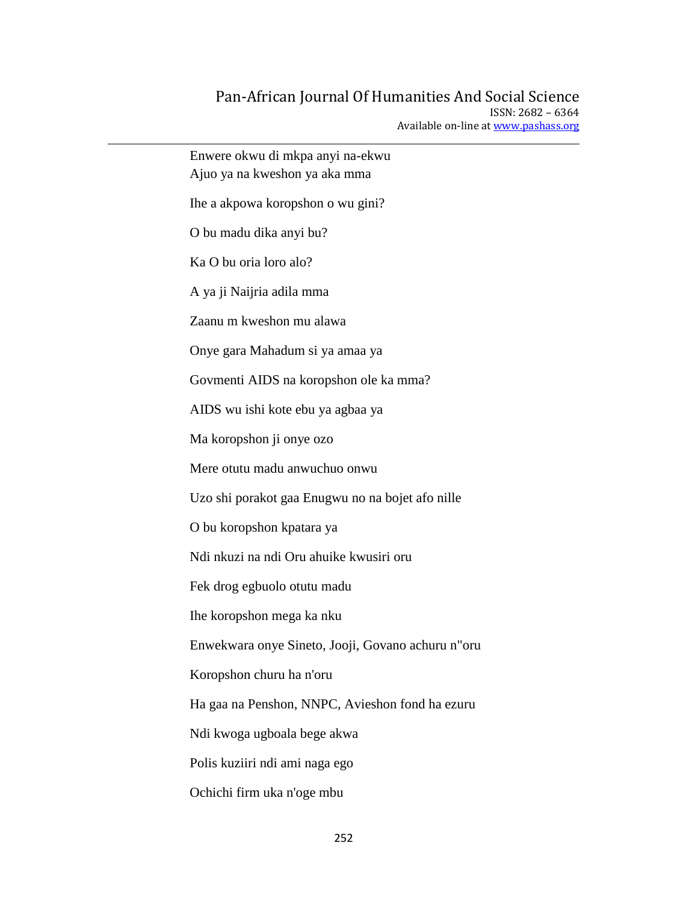# Pan-African Journal Of Humanities And Social Science

ISSN: 2682 – 6364 Available on-line at www.pashass.org

| Enwere okwu di mkpa anyi na-ekwu<br>Ajuo ya na kweshon ya aka mma |
|-------------------------------------------------------------------|
| Ihe a akpowa koropshon o wu gini?                                 |
| O bu madu dika anyi bu?                                           |
| Ka O bu oria loro alo?                                            |
| A ya ji Naijria adila mma                                         |
| Zaanu m kweshon mu alawa                                          |
| Onye gara Mahadum si ya amaa ya                                   |
| Govmenti AIDS na koropshon ole ka mma?                            |
| AIDS wu ishi kote ebu ya agbaa ya                                 |
| Ma koropshon ji onye ozo                                          |
| Mere otutu madu anwuchuo onwu                                     |
| Uzo shi porakot gaa Enugwu no na bojet afo nille                  |
| O bu koropshon kpatara ya                                         |
| Ndi nkuzi na ndi Oru ahuike kwusiri oru                           |
| Fek drog egbuolo otutu madu                                       |
| Ihe koropshon mega ka nku                                         |
| Enwekwara onye Sineto, Jooji, Govano achuru n"oru                 |
| Koropshon churu ha n'oru                                          |
| Ha gaa na Penshon, NNPC, Avieshon fond ha ezuru                   |
| Ndi kwoga ugboala bege akwa                                       |
| Polis kuziiri ndi ami naga ego                                    |
| Ochichi firm uka n'oge mbu                                        |
|                                                                   |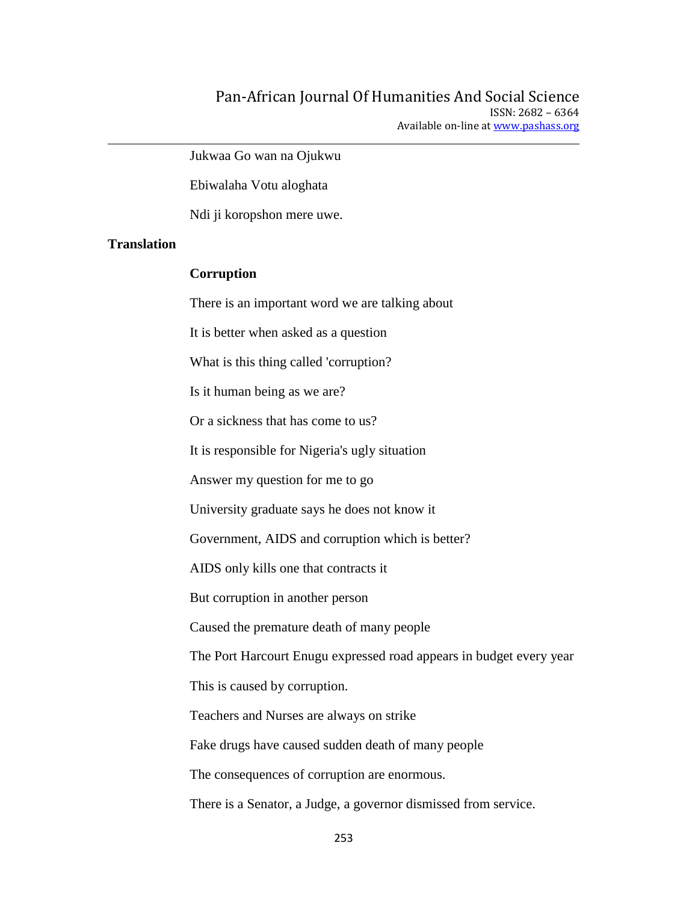Jukwaa Go wan na Ojukwu

Ebiwalaha Votu aloghata

Ndi ji koropshon mere uwe.

### **Translation**

#### **Corruption**

There is an important word we are talking about It is better when asked as a question What is this thing called 'corruption? Is it human being as we are? Or a sickness that has come to us? It is responsible for Nigeria's ugly situation Answer my question for me to go University graduate says he does not know it Government, AIDS and corruption which is better? AIDS only kills one that contracts it But corruption in another person Caused the premature death of many people The Port Harcourt Enugu expressed road appears in budget every year This is caused by corruption. Teachers and Nurses are always on strike Fake drugs have caused sudden death of many people The consequences of corruption are enormous. There is a Senator, a Judge, a governor dismissed from service.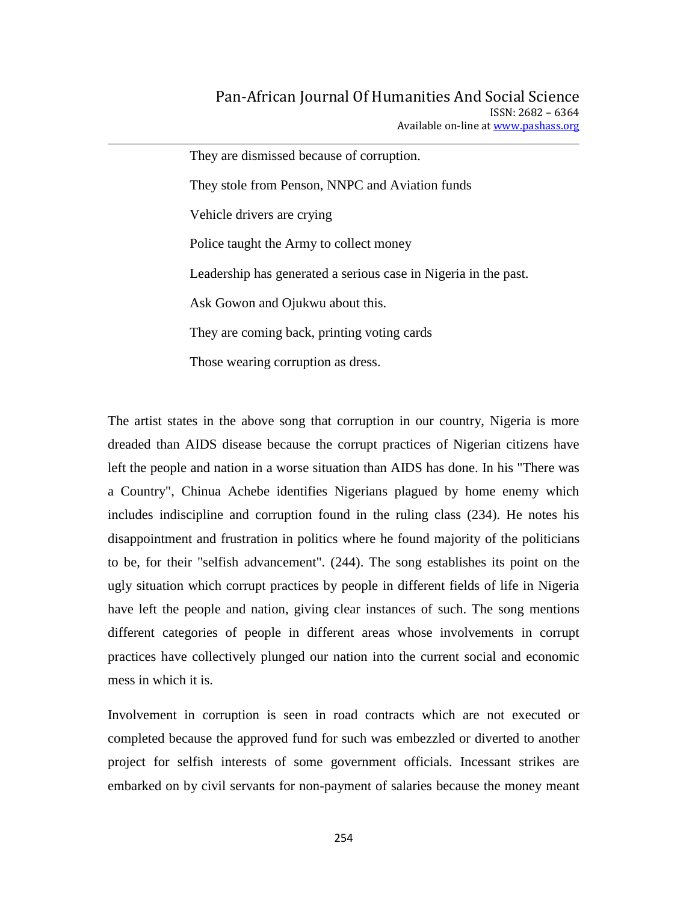They are dismissed because of corruption. They stole from Penson, NNPC and Aviation funds Vehicle drivers are crying Police taught the Army to collect money Leadership has generated a serious case in Nigeria in the past. Ask Gowon and Ojukwu about this. They are coming back, printing voting cards

Those wearing corruption as dress.

The artist states in the above song that corruption in our country, Nigeria is more dreaded than AIDS disease because the corrupt practices of Nigerian citizens have left the people and nation in a worse situation than AIDS has done. In his "There was a Country", Chinua Achebe identifies Nigerians plagued by home enemy which includes indiscipline and corruption found in the ruling class (234). He notes his disappointment and frustration in politics where he found majority of the politicians to be, for their "selfish advancement". (244). The song establishes its point on the ugly situation which corrupt practices by people in different fields of life in Nigeria have left the people and nation, giving clear instances of such. The song mentions different categories of people in different areas whose involvements in corrupt practices have collectively plunged our nation into the current social and economic mess in which it is.

Involvement in corruption is seen in road contracts which are not executed or completed because the approved fund for such was embezzled or diverted to another project for selfish interests of some government officials. Incessant strikes are embarked on by civil servants for non-payment of salaries because the money meant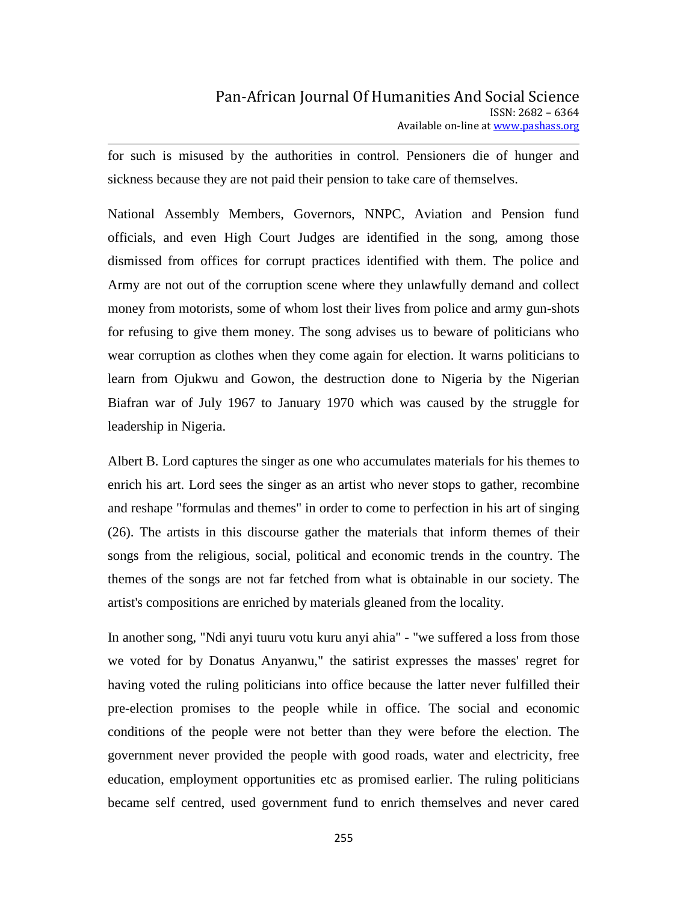for such is misused by the authorities in control. Pensioners die of hunger and sickness because they are not paid their pension to take care of themselves.

National Assembly Members, Governors, NNPC, Aviation and Pension fund officials, and even High Court Judges are identified in the song, among those dismissed from offices for corrupt practices identified with them. The police and Army are not out of the corruption scene where they unlawfully demand and collect money from motorists, some of whom lost their lives from police and army gun-shots for refusing to give them money. The song advises us to beware of politicians who wear corruption as clothes when they come again for election. It warns politicians to learn from Ojukwu and Gowon, the destruction done to Nigeria by the Nigerian Biafran war of July 1967 to January 1970 which was caused by the struggle for leadership in Nigeria.

Albert B. Lord captures the singer as one who accumulates materials for his themes to enrich his art. Lord sees the singer as an artist who never stops to gather, recombine and reshape "formulas and themes" in order to come to perfection in his art of singing (26). The artists in this discourse gather the materials that inform themes of their songs from the religious, social, political and economic trends in the country. The themes of the songs are not far fetched from what is obtainable in our society. The artist's compositions are enriched by materials gleaned from the locality.

In another song, "Ndi anyi tuuru votu kuru anyi ahia" - "we suffered a loss from those we voted for by Donatus Anyanwu," the satirist expresses the masses' regret for having voted the ruling politicians into office because the latter never fulfilled their pre-election promises to the people while in office. The social and economic conditions of the people were not better than they were before the election. The government never provided the people with good roads, water and electricity, free education, employment opportunities etc as promised earlier. The ruling politicians became self centred, used government fund to enrich themselves and never cared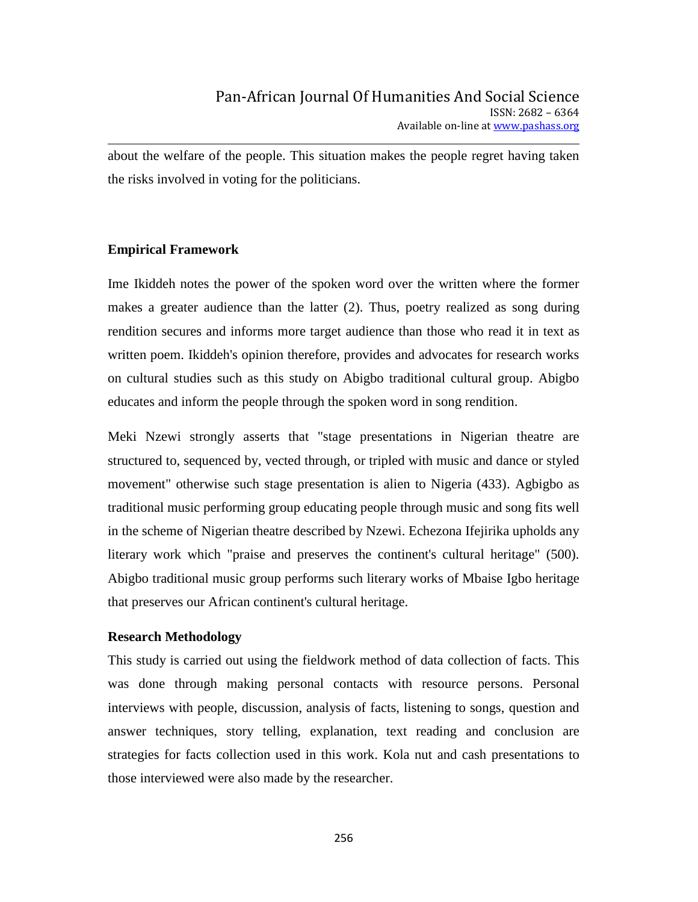about the welfare of the people. This situation makes the people regret having taken the risks involved in voting for the politicians.

### **Empirical Framework**

Ime Ikiddeh notes the power of the spoken word over the written where the former makes a greater audience than the latter (2). Thus, poetry realized as song during rendition secures and informs more target audience than those who read it in text as written poem. Ikiddeh's opinion therefore, provides and advocates for research works on cultural studies such as this study on Abigbo traditional cultural group. Abigbo educates and inform the people through the spoken word in song rendition.

Meki Nzewi strongly asserts that "stage presentations in Nigerian theatre are structured to, sequenced by, vected through, or tripled with music and dance or styled movement" otherwise such stage presentation is alien to Nigeria (433). Agbigbo as traditional music performing group educating people through music and song fits well in the scheme of Nigerian theatre described by Nzewi. Echezona Ifejirika upholds any literary work which "praise and preserves the continent's cultural heritage" (500). Abigbo traditional music group performs such literary works of Mbaise Igbo heritage that preserves our African continent's cultural heritage.

### **Research Methodology**

This study is carried out using the fieldwork method of data collection of facts. This was done through making personal contacts with resource persons. Personal interviews with people, discussion, analysis of facts, listening to songs, question and answer techniques, story telling, explanation, text reading and conclusion are strategies for facts collection used in this work. Kola nut and cash presentations to those interviewed were also made by the researcher.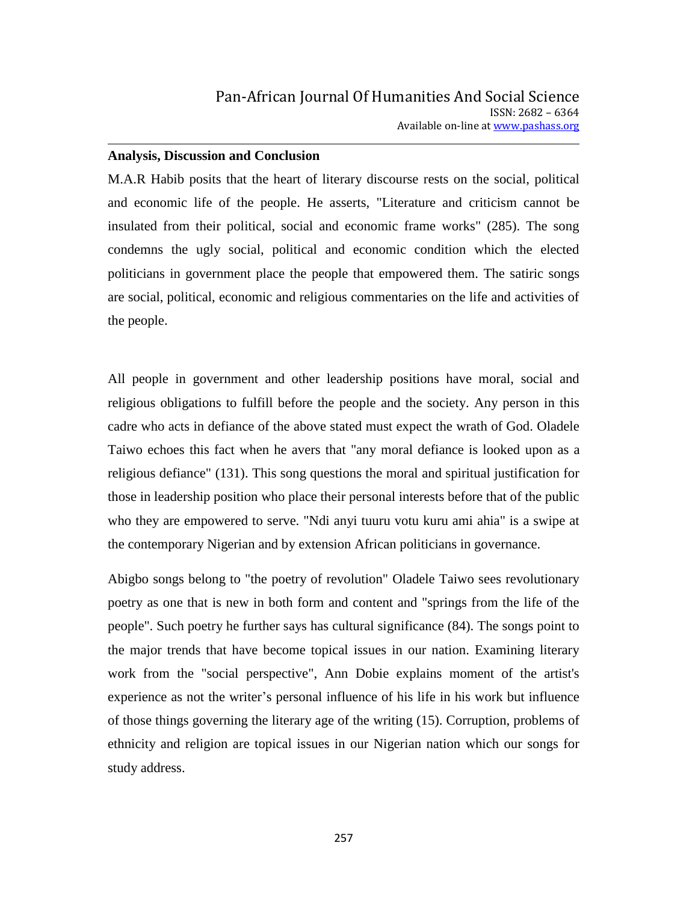### **Analysis, Discussion and Conclusion**

M.A.R Habib posits that the heart of literary discourse rests on the social, political and economic life of the people. He asserts, "Literature and criticism cannot be insulated from their political, social and economic frame works" (285). The song condemns the ugly social, political and economic condition which the elected politicians in government place the people that empowered them. The satiric songs are social, political, economic and religious commentaries on the life and activities of the people.

All people in government and other leadership positions have moral, social and religious obligations to fulfill before the people and the society. Any person in this cadre who acts in defiance of the above stated must expect the wrath of God. Oladele Taiwo echoes this fact when he avers that "any moral defiance is looked upon as a religious defiance" (131). This song questions the moral and spiritual justification for those in leadership position who place their personal interests before that of the public who they are empowered to serve. "Ndi anyi tuuru votu kuru ami ahia" is a swipe at the contemporary Nigerian and by extension African politicians in governance.

Abigbo songs belong to "the poetry of revolution" Oladele Taiwo sees revolutionary poetry as one that is new in both form and content and "springs from the life of the people". Such poetry he further says has cultural significance (84). The songs point to the major trends that have become topical issues in our nation. Examining literary work from the "social perspective", Ann Dobie explains moment of the artist's experience as not the writer's personal influence of his life in his work but influence of those things governing the literary age of the writing (15). Corruption, problems of ethnicity and religion are topical issues in our Nigerian nation which our songs for study address.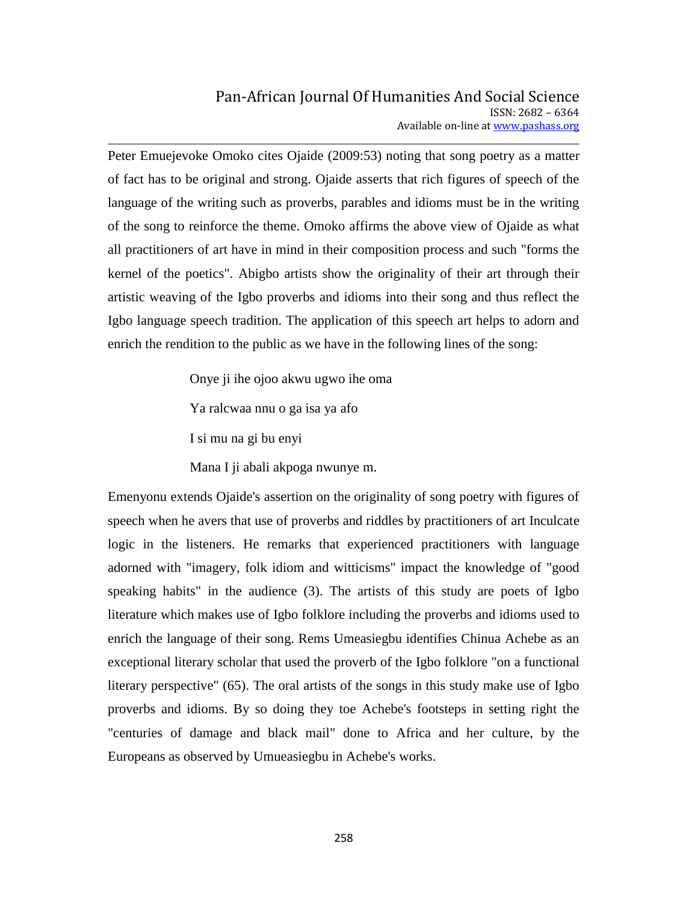Peter Emuejevoke Omoko cites Ojaide (2009:53) noting that song poetry as a matter of fact has to be original and strong. Ojaide asserts that rich figures of speech of the language of the writing such as proverbs, parables and idioms must be in the writing of the song to reinforce the theme. Omoko affirms the above view of Ojaide as what all practitioners of art have in mind in their composition process and such "forms the kernel of the poetics". Abigbo artists show the originality of their art through their artistic weaving of the Igbo proverbs and idioms into their song and thus reflect the Igbo language speech tradition. The application of this speech art helps to adorn and enrich the rendition to the public as we have in the following lines of the song:

Onye ji ihe ojoo akwu ugwo ihe oma

Ya ralcwaa nnu o ga isa ya afo

I si mu na gi bu enyi

Mana I ji abali akpoga nwunye m.

Emenyonu extends Ojaide's assertion on the originality of song poetry with figures of speech when he avers that use of proverbs and riddles by practitioners of art Inculcate logic in the listeners. He remarks that experienced practitioners with language adorned with "imagery, folk idiom and witticisms" impact the knowledge of "good speaking habits" in the audience (3). The artists of this study are poets of Igbo literature which makes use of Igbo folklore including the proverbs and idioms used to enrich the language of their song. Rems Umeasiegbu identifies Chinua Achebe as an exceptional literary scholar that used the proverb of the Igbo folklore "on a functional literary perspective" (65). The oral artists of the songs in this study make use of Igbo proverbs and idioms. By so doing they toe Achebe's footsteps in setting right the "centuries of damage and black mail" done to Africa and her culture, by the Europeans as observed by Umueasiegbu in Achebe's works.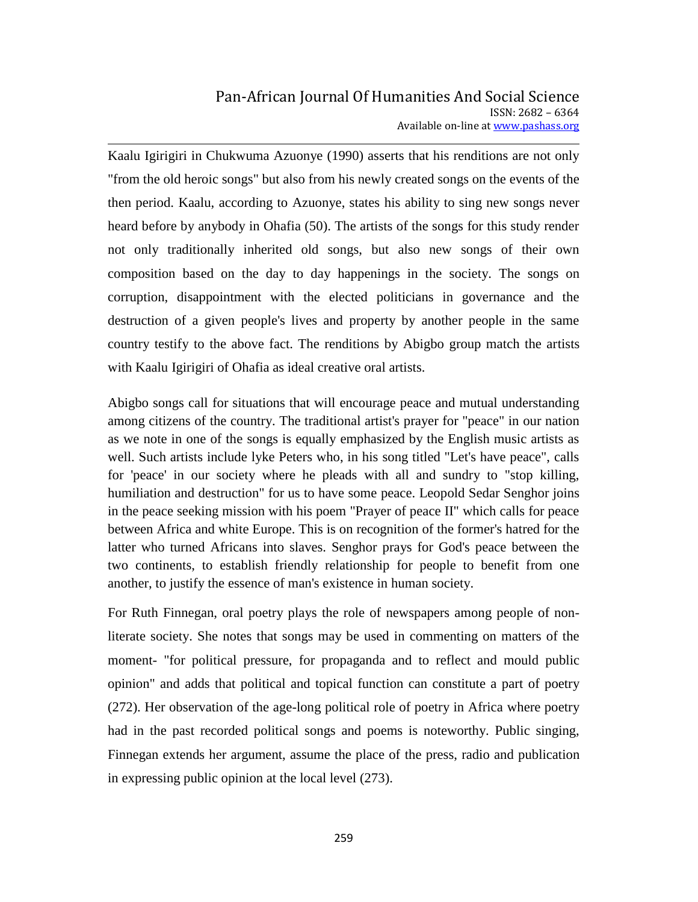Kaalu Igirigiri in Chukwuma Azuonye (1990) asserts that his renditions are not only "from the old heroic songs" but also from his newly created songs on the events of the then period. Kaalu, according to Azuonye, states his ability to sing new songs never heard before by anybody in Ohafia (50). The artists of the songs for this study render not only traditionally inherited old songs, but also new songs of their own composition based on the day to day happenings in the society. The songs on corruption, disappointment with the elected politicians in governance and the destruction of a given people's lives and property by another people in the same country testify to the above fact. The renditions by Abigbo group match the artists with Kaalu Igirigiri of Ohafia as ideal creative oral artists.

Abigbo songs call for situations that will encourage peace and mutual understanding among citizens of the country. The traditional artist's prayer for "peace" in our nation as we note in one of the songs is equally emphasized by the English music artists as well. Such artists include lyke Peters who, in his song titled "Let's have peace", calls for 'peace' in our society where he pleads with all and sundry to "stop killing, humiliation and destruction" for us to have some peace. Leopold Sedar Senghor joins in the peace seeking mission with his poem "Prayer of peace II" which calls for peace between Africa and white Europe. This is on recognition of the former's hatred for the latter who turned Africans into slaves. Senghor prays for God's peace between the two continents, to establish friendly relationship for people to benefit from one another, to justify the essence of man's existence in human society.

For Ruth Finnegan, oral poetry plays the role of newspapers among people of nonliterate society. She notes that songs may be used in commenting on matters of the moment- "for political pressure, for propaganda and to reflect and mould public opinion" and adds that political and topical function can constitute a part of poetry (272). Her observation of the age-long political role of poetry in Africa where poetry had in the past recorded political songs and poems is noteworthy. Public singing, Finnegan extends her argument, assume the place of the press, radio and publication in expressing public opinion at the local level (273).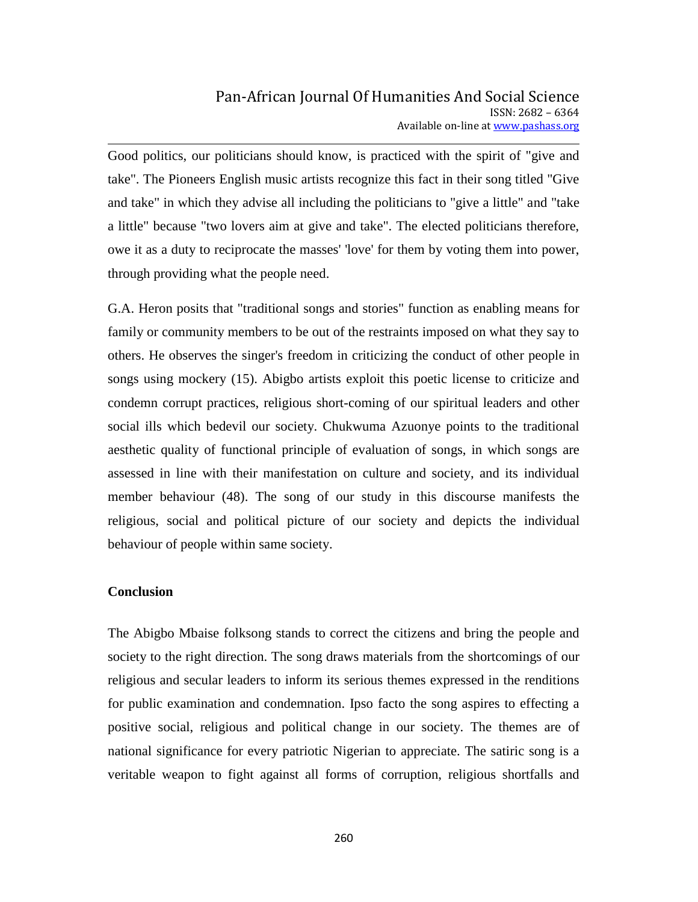Good politics, our politicians should know, is practiced with the spirit of "give and take". The Pioneers English music artists recognize this fact in their song titled "Give and take" in which they advise all including the politicians to "give a little" and "take a little" because "two lovers aim at give and take". The elected politicians therefore, owe it as a duty to reciprocate the masses' 'love' for them by voting them into power, through providing what the people need.

G.A. Heron posits that "traditional songs and stories" function as enabling means for family or community members to be out of the restraints imposed on what they say to others. He observes the singer's freedom in criticizing the conduct of other people in songs using mockery (15). Abigbo artists exploit this poetic license to criticize and condemn corrupt practices, religious short-coming of our spiritual leaders and other social ills which bedevil our society. Chukwuma Azuonye points to the traditional aesthetic quality of functional principle of evaluation of songs, in which songs are assessed in line with their manifestation on culture and society, and its individual member behaviour (48). The song of our study in this discourse manifests the religious, social and political picture of our society and depicts the individual behaviour of people within same society.

### **Conclusion**

The Abigbo Mbaise folksong stands to correct the citizens and bring the people and society to the right direction. The song draws materials from the shortcomings of our religious and secular leaders to inform its serious themes expressed in the renditions for public examination and condemnation. Ipso facto the song aspires to effecting a positive social, religious and political change in our society. The themes are of national significance for every patriotic Nigerian to appreciate. The satiric song is a veritable weapon to fight against all forms of corruption, religious shortfalls and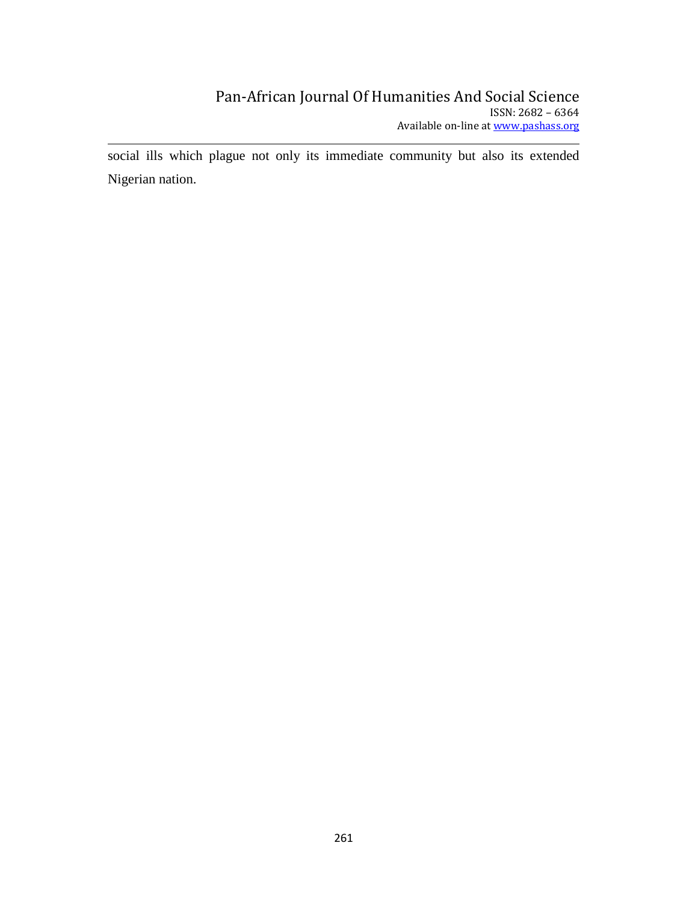social ills which plague not only its immediate community but also its extended Nigerian nation.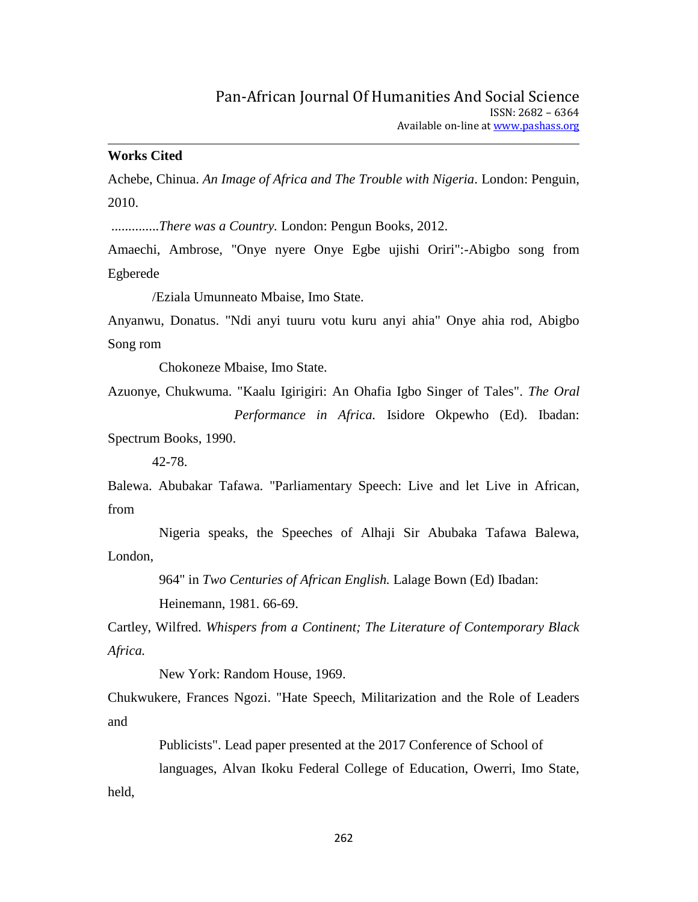### **Works Cited**

Achebe, Chinua. *An Image of Africa and The Trouble with Nigeria.* London: Penguin, 2010.

..............*There was a Country.* London: Pengun Books, 2012.

Amaechi, Ambrose, "Onye nyere Onye Egbe ujishi Oriri":-Abigbo song from Egberede

/Eziala Umunneato Mbaise, Imo State.

Anyanwu, Donatus. "Ndi anyi tuuru votu kuru anyi ahia" Onye ahia rod, Abigbo Song rom

Chokoneze Mbaise, Imo State.

Azuonye, Chukwuma. "Kaalu Igirigiri: An Ohafia Igbo Singer of Tales". *The Oral Performance in Africa.* Isidore Okpewho (Ed). Ibadan:

Spectrum Books, 1990.

42-78.

Balewa. Abubakar Tafawa. "Parliamentary Speech: Live and let Live in African, from

 Nigeria speaks, the Speeches of Alhaji Sir Abubaka Tafawa Balewa, London,

> 964" in *Two Centuries of African English.* Lalage Bown (Ed) Ibadan: Heinemann, 1981. 66-69.

Cartley, Wilfred. *Whispers from a Continent; The Literature of Contemporary Black Africa.* 

New York: Random House, 1969.

Chukwukere, Frances Ngozi. "Hate Speech, Militarization and the Role of Leaders and

 Publicists". Lead paper presented at the 2017 Conference of School of languages, Alvan Ikoku Federal College of Education, Owerri, Imo State, held,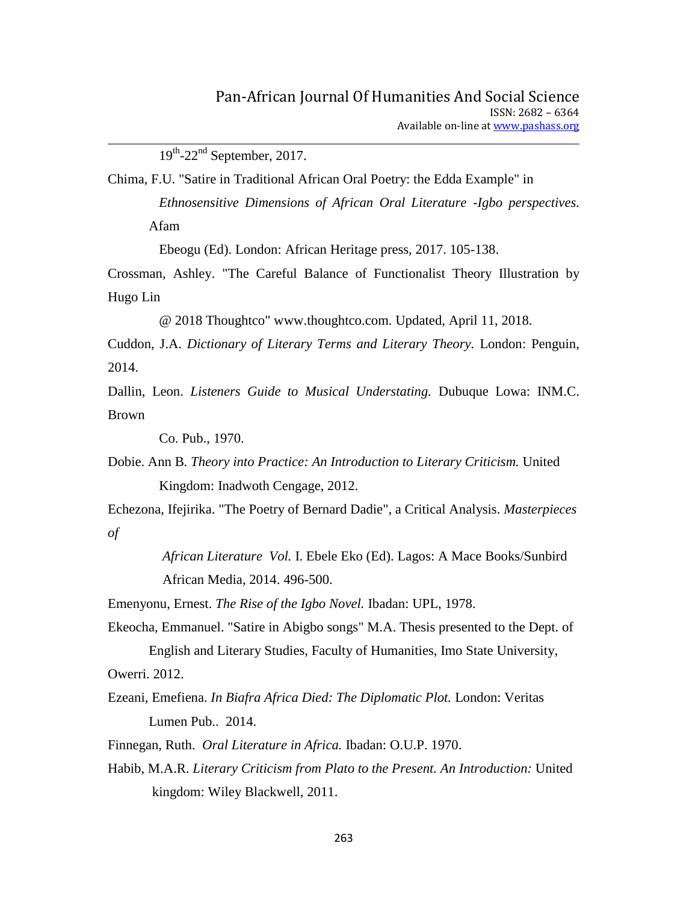$19^{th}$ -22<sup>nd</sup> September, 2017.

Chima, F.U. "Satire in Traditional African Oral Poetry: the Edda Example" in  *Ethnosensitive Dimensions of African Oral Literature -Igbo perspectives.*  Afam

Ebeogu (Ed). London: African Heritage press, 2017. 105-138.

Crossman, Ashley. "The Careful Balance of Functionalist Theory Illustration by Hugo Lin

@ 2018 Thoughtco" www.thoughtco.com. Updated, April 11, 2018.

Cuddon, J.A. *Dictionary of Literary Terms and Literary Theory.* London: Penguin, 2014.

Dallin, Leon. *Listeners Guide to Musical Understating.* Dubuque Lowa: INM.C. Brown

Co. Pub., 1970.

Dobie. Ann B. *Theory into Practice: An Introduction to Literary Criticism.* United Kingdom: Inadwoth Cengage, 2012.

Echezona, Ifejirika. "The Poetry of Bernard Dadie", a Critical Analysis. *Masterpieces of* 

> *African Literature Vol.* I. Ebele Eko (Ed). Lagos: A Mace Books/Sunbird African Media, 2014. 496-500.

Emenyonu, Ernest. *The Rise of the Igbo Novel.* Ibadan: UPL, 1978.

Ekeocha, Emmanuel. "Satire in Abigbo songs" M.A. Thesis presented to the Dept. of English and Literary Studies, Faculty of Humanities, Imo State University,

Owerri. 2012.

Ezeani, Emefiena. *In Biafra Africa Died: The Diplomatic Plot.* London: Veritas Lumen Pub.. 2014.

Finnegan, Ruth. *Oral Literature in Africa.* Ibadan: O.U.P. 1970.

Habib, M.A.R. *Literary Criticism from Plato to the Present. An Introduction:* United kingdom: Wiley Blackwell, 2011.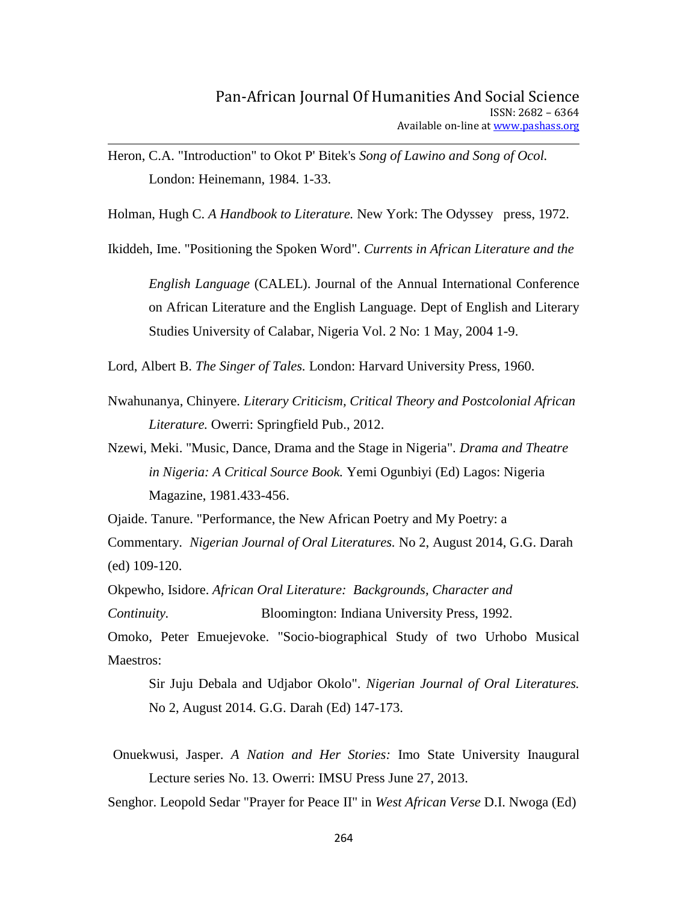Heron, C.A. "Introduction" to Okot P' Bitek's *Song of Lawino and Song of Ocol.*  London: Heinemann, 1984. 1-33.

Holman, Hugh C. *A Handbook to Literature.* New York: The Odyssey press, 1972.

Ikiddeh, Ime. "Positioning the Spoken Word". *Currents in African Literature and the*

*English Language* (CALEL). Journal of the Annual International Conference on African Literature and the English Language. Dept of English and Literary Studies University of Calabar, Nigeria Vol. 2 No: 1 May, 2004 1-9.

Lord, Albert B. *The Singer of Tales.* London: Harvard University Press, 1960.

Nwahunanya, Chinyere. *Literary Criticism, Critical Theory and Postcolonial African Literature.* Owerri: Springfield Pub., 2012.

Nzewi, Meki. "Music, Dance, Drama and the Stage in Nigeria". *Drama and Theatre in Nigeria: A Critical Source Book.* Yemi Ogunbiyi (Ed) Lagos: Nigeria Magazine, 1981.433-456.

Ojaide. Tanure. "Performance, the New African Poetry and My Poetry: a

Commentary. *Nigerian Journal of Oral Literatures.* No 2, August 2014, G.G. Darah (ed) 109-120.

Okpewho, Isidore. *African Oral Literature: Backgrounds, Character and Continuity.* Bloomington: Indiana University Press, 1992.

Omoko, Peter Emuejevoke. "Socio-biographical Study of two Urhobo Musical Maestros:

Sir Juju Debala and Udjabor Okolo". *Nigerian Journal of Oral Literatures.* No 2, August 2014. G.G. Darah (Ed) 147-173.

Onuekwusi, Jasper. *A Nation and Her Stories:* Imo State University Inaugural Lecture series No. 13. Owerri: IMSU Press June 27, 2013.

Senghor. Leopold Sedar "Prayer for Peace II" in *West African Verse* D.I. Nwoga (Ed)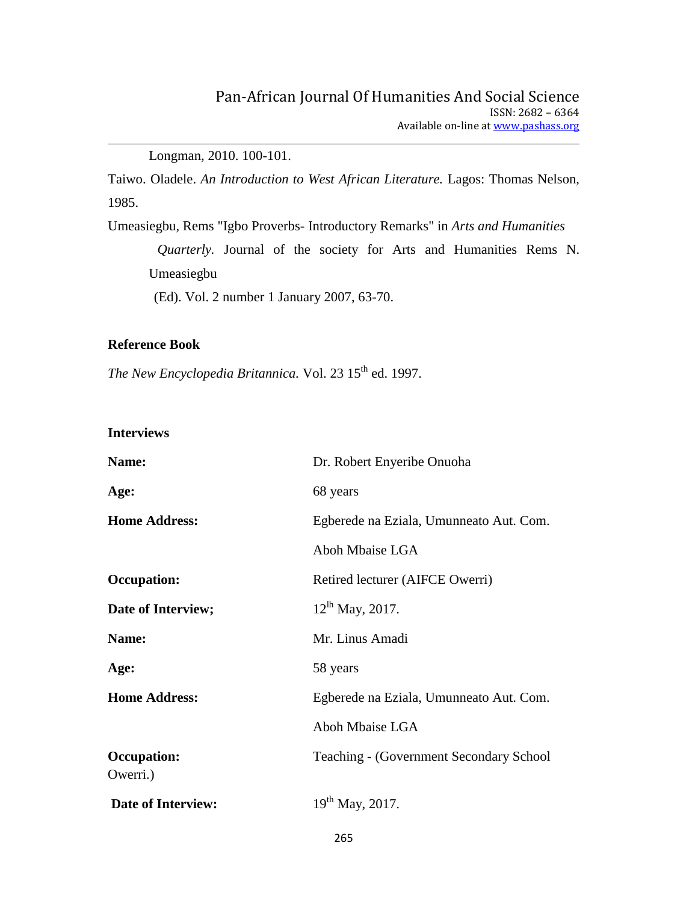Longman, 2010. 100-101.

Taiwo. Oladele. *An Introduction to West African Literature.* Lagos: Thomas Nelson, 1985.

Umeasiegbu, Rems "Igbo Proverbs- Introductory Remarks" in *Arts and Humanities*

*Quarterly.* Journal of the society for Arts and Humanities Rems N. Umeasiegbu

(Ed). Vol. 2 number 1 January 2007, 63-70.

### **Reference Book**

*The New Encyclopedia Britannica.* Vol. 23 15<sup>th</sup> ed. 1997.

### **Interviews**

| Name:                          | Dr. Robert Enyeribe Onuoha               |
|--------------------------------|------------------------------------------|
| Age:                           | 68 years                                 |
| <b>Home Address:</b>           | Egberede na Eziala, Umunneato Aut. Com.  |
|                                | Aboh Mbaise LGA                          |
| <b>Occupation:</b>             | Retired lecturer (AIFCE Owerri)          |
| Date of Interview;             | $12^{lh}$ May, 2017.                     |
| Name:                          | Mr. Linus Amadi                          |
| Age:                           | 58 years                                 |
| <b>Home Address:</b>           | Egberede na Eziala, Umunneato Aut. Com.  |
|                                | Aboh Mbaise LGA                          |
| <b>Occupation:</b><br>Owerri.) | Teaching - (Government Secondary School) |
| <b>Date of Interview:</b>      | $19^{th}$ May, 2017.                     |